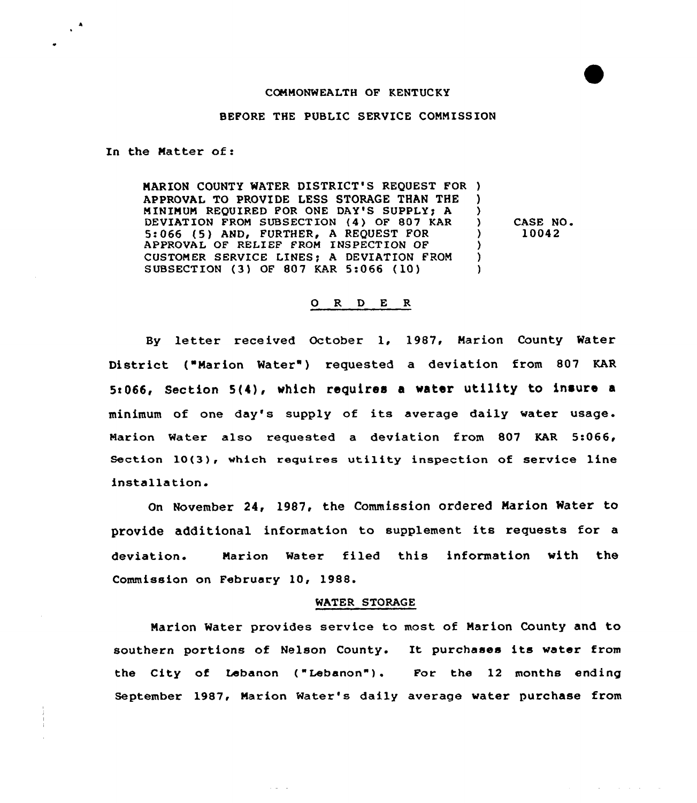# CONNONWEALTH OF KENTUCKY

### BEFORE THE PUBLIC SERVICE CONNISS ION

In the Natter of:

NARION COUNTY WATER DISTRICT'S REQUEST FOR ) APPROVAL TO PROVIDE LESS STORAGE THAN THE ) NININUN REQUIRED FOR ONE DAY'S SUPPLY) A ) DEVIATION FROM SUBSECTION (4) OF 807 KAR 5:066 (5) AND, FURTHER, A REQUEST FOR APPROVAL OF RELIEF FROM INSPECTION OF ) CUSTOMER SERVICE LINES; A DEVIATION FROM SUBSECTION (3) OF 807 KAR 5:066 (10)

CASE NO 10042

# 0 R <sup>D</sup> E R

By letter received October 1, 1987, Marion County Water District ("Narion Water') requested a deviation from 807 KAR 5:066, Section 5(4), which requires a water utility to insure a minimum of one day's supply of its average daily water usage. Narion Mater also requested a deviation from 807 KAR 5:066, Section 10(3), which requires utility inspection of service line installation.

On November 24, 1987, the Commission ordered Marion Water to provide additional information to supplement its requests for <sup>a</sup> deviation. Narion Water filed this information with the Commission on February 10, 1988.

#### WATER STORAGE

Narion Water provides service to most of Marion County and to southern portions of Nelson County. It purchases its water from the City of Lebanon ("Lebanon"). For the 12 months ending September 1987, Marion Water's daily average water purchase from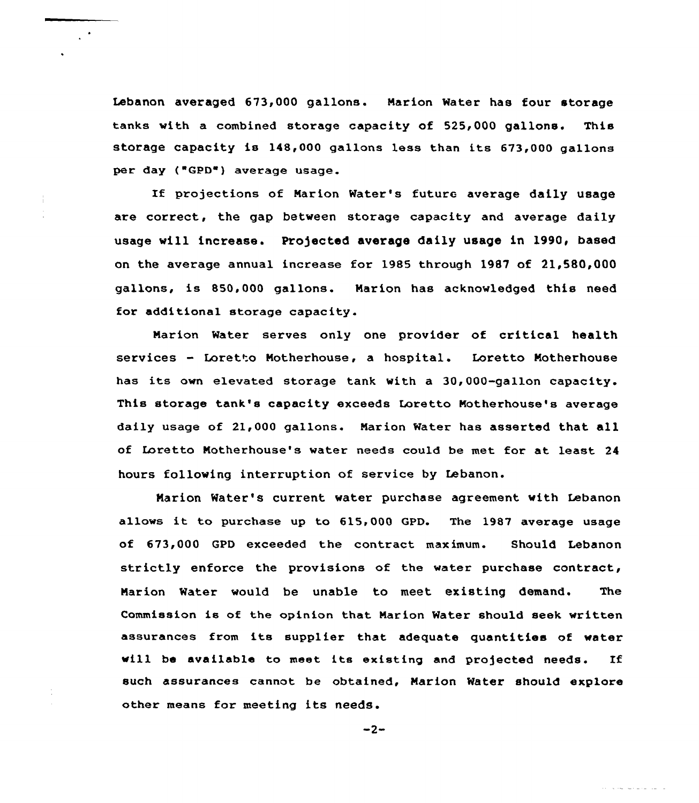Lebanon averaged 673,000 gallons. Marion Water has four storage tanks with a combined storage capacity of 525,000 gallons. This storage capacity is 148,000 gallans 1ess than its 673,000 gallons per day ("GPD") average usage.

If projections of Narion Water's future average daily usage are correct, the gap between storage capacity and average daily usage will increase. Projected average daily usage in 1990, based on the average annual increase for 1985 through 1987 of 21,580,000 gallons, is 850,000 gallons. Marion has acknowledged this need for additional storage capacity.

Marion Water serves only one provider of critical health services — Loretto Motherhouse, a hospital. Loretto Motherhouse has its own elevated storage tank with <sup>a</sup> 30,000-gallon capacity. This storage tank's capacity exceeds Loretto Natherhouse's average daily usage of 21,000 gallons. Marion Water has asserted that all of Laretta Motherhouse's water needs could be met for at least 24 hours following interruption of service by Lebanon.

Marion Water's current water purchase agreement with Lebanon allows it ta purchase up to 615,000 GPD. The <sup>1987</sup> average usage of 673,000 GPD exceeded the contract maximum. Should Lebanon strictly enforce the provisions of the water purchase contract, Marion Water would be unable to meet existing demand. The Commission is of the opinion that Narion Water should seek written assurances from its supplier that adequate quantities of water will be available to meet its existing and projected needs. If such assurances cannot be obtained, Marion Water should explore other means for meeting its needs.

 $-2-$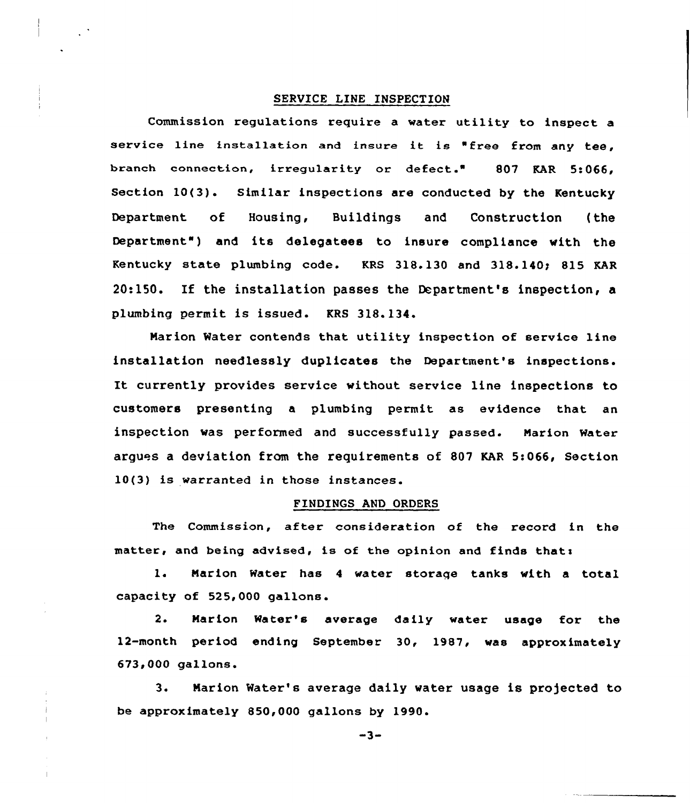# SERVICE LINE INSPECTION

Commission regulations require a water utility to inspect a service line installation and insure it is "free from any tee, branch connection, irregularity or defect." 807 KAR 5:066, Section 10(3). Similar inspections are conducted by the Kentucky Department of Housing, Buildings and Construction {the Department" ) and its delegatees to insure compliance with the Kentucky state plumbing code. KRS 318.130 and 318.140; 815 KAR 20:l50. If the installation passes the Department's inspection, a plumbing permit is issued. KRS 318.134.

Marion Water contends that utility inspection of service line installation needlessly duplicates the Department's inspections. It currently provides service without service line inspections to customers presenting a plumbing permit as evidence that an inspection was performed and successfully passed. Marion Water argues a deviation from the requirements of 807 KAR 5:066, Section 10(3) is warranted in those instances.

# FINDINGS AND ORDERS

The Commission, after consideration of the record in the matter, and being advised, is of the opinion and finds that:

1. Marion Water has <sup>4</sup> water storaqe tanks with a total. capacity of 525,000 gallons.

2. Marion Water's average daily water usage for the 12-month period ending September 30, 1987, was approximately 673>000 gallons.

3. Marion Water's average daily water usage is projected to be approximately 850,000 gallons by 1990.

 $-3-$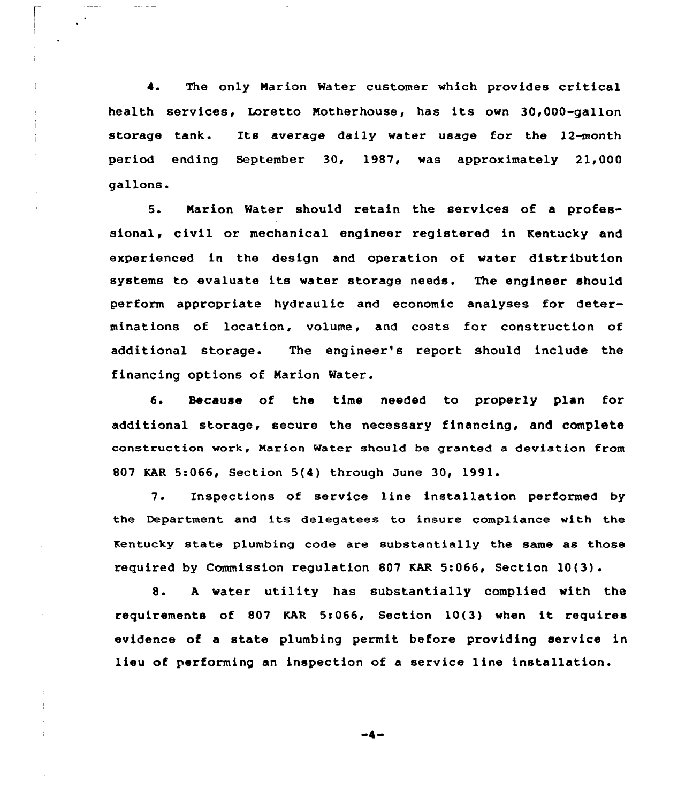4. The only Marion Water customer which provides critical health services, Loretto Motherhouse, has its own 30,000-gallon storage tank. Its average daily water usage for the 12-month period ending September 30, 1987, was approximately 21,000 gallons.

 $\frac{1}{2} \frac{1}{2} \frac{1}{2} \frac{1}{2} \frac{1}{2} \frac{1}{2} \frac{1}{2} \frac{1}{2} \frac{1}{2} \frac{1}{2} \frac{1}{2} \frac{1}{2} \frac{1}{2} \frac{1}{2} \frac{1}{2} \frac{1}{2} \frac{1}{2} \frac{1}{2} \frac{1}{2} \frac{1}{2} \frac{1}{2} \frac{1}{2} \frac{1}{2} \frac{1}{2} \frac{1}{2} \frac{1}{2} \frac{1}{2} \frac{1}{2} \frac{1}{2} \frac{1}{2} \frac{1}{2} \frac{$ 

 $\pm$ 

5. Marion Water should retain the services of a professional, civil or mechanical engineer registered in Kentucky and experienced in the design and operation of water distribution systems to evaluate its water storage needs. The engineer should perform appropriate hydraulic and economic analyses for determinations of location, volume, and costs for construction of additional storage. The engineer's report should include the financing options of Marion Water.

6. Secause of the time needed to properly plan for additional storage, secure the necessary financing, and complete construction work, Marion Water should be granted a deviation from 807 KAR 5:066, Section 5(4) through June 30< 1991

 $7.$ Inspections of service line installation performed by the Department and its delegatees to insure compliance with the Kentucky state plumbing code are substantially the same as those required by Commission requlation 807 KAR 5:066, Section  $10(3)$ .

8. A water utility has substantially complied with the requirements of <sup>807</sup> KAR 5!066, Section 10(3) when it requires evidence of a state plumbing permit before providing service in lieu of performing an inspection of a service line installation.

 $-4-$